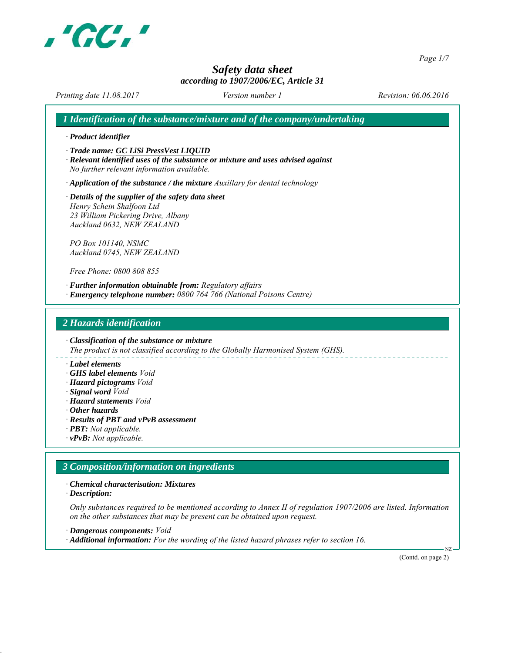

*Page 1/7*

# *Safety data sheet according to 1907/2006/EC, Article 31*

*Printing date 11.08.2017 Revision: 06.06.2016 Version number 1*

*1 Identification of the substance/mixture and of the company/undertaking*

*∙ Product identifier*

*∙ Trade name: GC LiSi PressVest LIQUID*

*∙ Relevant identified uses of the substance or mixture and uses advised against No further relevant information available.*

*∙ Application of the substance / the mixture Auxillary for dental technology*

*∙ Details of the supplier of the safety data sheet Henry Schein Shalfoon Ltd 23 William Pickering Drive, Albany Auckland 0632, NEW ZEALAND*

*PO Box 101140, NSMC Auckland 0745, NEW ZEALAND*

*Free Phone: 0800 808 855*

*∙ Further information obtainable from: Regulatory affairs ∙ Emergency telephone number: 0800 764 766 (National Poisons Centre)*

#### *2 Hazards identification*

*∙ Classification of the substance or mixture*

*The product is not classified according to the Globally Harmonised System (GHS).*

- *∙ Label elements*
- *∙ GHS label elements Void*
- *∙ Hazard pictograms Void*
- *∙ Signal word Void*
- *∙ Hazard statements Void*
- *∙ Other hazards*
- *∙ Results of PBT and vPvB assessment*
- *∙ PBT: Not applicable.*
- *∙ vPvB: Not applicable.*

#### *3 Composition/information on ingredients*

*∙ Chemical characterisation: Mixtures*

*∙ Description:*

*Only substances required to be mentioned according to Annex II of regulation 1907/2006 are listed. Information on the other substances that may be present can be obtained upon request.*

*∙ Dangerous components: Void*

*∙ Additional information: For the wording of the listed hazard phrases refer to section 16.*

(Contd. on page 2)

NZ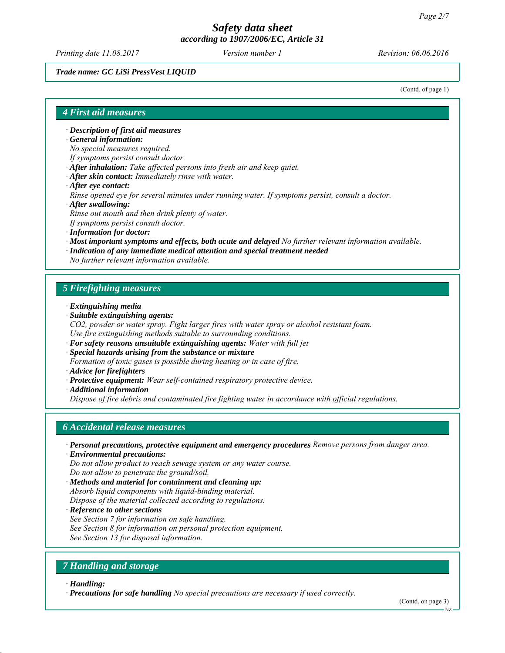*Printing date 11.08.2017 Revision: 06.06.2016 Version number 1*

#### *Trade name: GC LiSi PressVest LIQUID*

(Contd. of page 1)

#### *4 First aid measures*

*∙ Description of first aid measures*

*∙ General information:*

*No special measures required.*

- *If symptoms persist consult doctor.*
- *∙ After inhalation: Take affected persons into fresh air and keep quiet.*
- *∙ After skin contact: Immediately rinse with water.*
- *∙ After eye contact:*
- *Rinse opened eye for several minutes under running water. If symptoms persist, consult a doctor.*
- *∙ After swallowing:*

*Rinse out mouth and then drink plenty of water.*

*If symptoms persist consult doctor.*

- *∙ Information for doctor:*
- *∙ Most important symptoms and effects, both acute and delayed No further relevant information available.*
- *∙ Indication of any immediate medical attention and special treatment needed*

*No further relevant information available.*

#### *5 Firefighting measures*

- *∙ Extinguishing media*
- *∙ Suitable extinguishing agents:*
- *CO2, powder or water spray. Fight larger fires with water spray or alcohol resistant foam. Use fire extinguishing methods suitable to surrounding conditions.*
- *∙ For safety reasons unsuitable extinguishing agents: Water with full jet*
- *∙ Special hazards arising from the substance or mixture Formation of toxic gases is possible during heating or in case of fire.*
- *∙ Advice for firefighters*
- *∙ Protective equipment: Wear self-contained respiratory protective device.*
- *∙ Additional information*

*Dispose of fire debris and contaminated fire fighting water in accordance with official regulations.*

#### *6 Accidental release measures*

- *∙ Personal precautions, protective equipment and emergency procedures Remove persons from danger area.*
- *∙ Environmental precautions:*

*Do not allow product to reach sewage system or any water course. Do not allow to penetrate the ground/soil.*

- *∙ Methods and material for containment and cleaning up: Absorb liquid components with liquid-binding material. Dispose of the material collected according to regulations.*
- *∙ Reference to other sections*
- *See Section 7 for information on safe handling.*
- *See Section 8 for information on personal protection equipment.*

*See Section 13 for disposal information.*

# *7 Handling and storage*

*∙ Handling:*

*∙ Precautions for safe handling No special precautions are necessary if used correctly.*

(Contd. on page 3)

NZ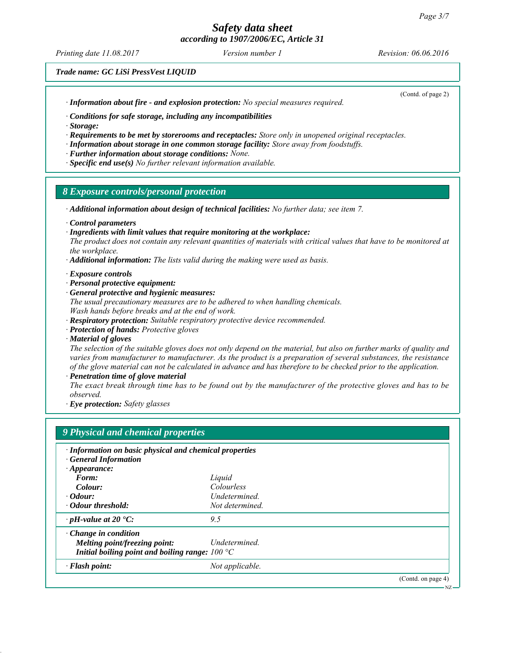# *Safety data sheet*

*according to 1907/2006/EC, Article 31*

*Printing date 11.08.2017 Revision: 06.06.2016 Version number 1*

(Contd. of page 2)

*Trade name: GC LiSi PressVest LIQUID*

*∙ Information about fire - and explosion protection: No special measures required.*

*∙ Conditions for safe storage, including any incompatibilities*

*∙ Storage:*

*∙ Requirements to be met by storerooms and receptacles: Store only in unopened original receptacles.*

*∙ Information about storage in one common storage facility: Store away from foodstuffs.*

- *∙ Further information about storage conditions: None.*
- *∙ Specific end use(s) No further relevant information available.*

#### *8 Exposure controls/personal protection*

- *∙ Additional information about design of technical facilities: No further data; see item 7.*
- *∙ Control parameters*
- *∙ Ingredients with limit values that require monitoring at the workplace:*

*The product does not contain any relevant quantities of materials with critical values that have to be monitored at the workplace.*

- *∙ Additional information: The lists valid during the making were used as basis.*
- *∙ Exposure controls*
- *∙ Personal protective equipment:*
- *∙ General protective and hygienic measures:*

*The usual precautionary measures are to be adhered to when handling chemicals. Wash hands before breaks and at the end of work.*

- *∙ Respiratory protection: Suitable respiratory protective device recommended.*
- *∙ Protection of hands: Protective gloves*
- *∙ Material of gloves*

*The selection of the suitable gloves does not only depend on the material, but also on further marks of quality and varies from manufacturer to manufacturer. As the product is a preparation of several substances, the resistance of the glove material can not be calculated in advance and has therefore to be checked prior to the application.*

*∙ Penetration time of glove material*

*The exact break through time has to be found out by the manufacturer of the protective gloves and has to be observed.*

*∙ Eye protection: Safety glasses*

| · Information on basic physical and chemical properties  |                 |                   |
|----------------------------------------------------------|-----------------|-------------------|
| <b>General Information</b>                               |                 |                   |
| $\cdot$ Appearance:                                      |                 |                   |
| Form:                                                    | Liquid          |                   |
| Colour:                                                  | Colourless      |                   |
| $\cdot$ Odour:                                           | Undetermined.   |                   |
| · Odour threshold:                                       | Not determined. |                   |
| $\cdot$ pH-value at 20 °C:                               | 9.5             |                   |
| $\cdot$ Change in condition                              |                 |                   |
| Melting point/freezing point:                            | Undetermined.   |                   |
| Initial boiling point and boiling range: $100 \degree C$ |                 |                   |
| $\cdot$ Flash point:                                     | Not applicable. |                   |
|                                                          |                 | (Cond. on page 4) |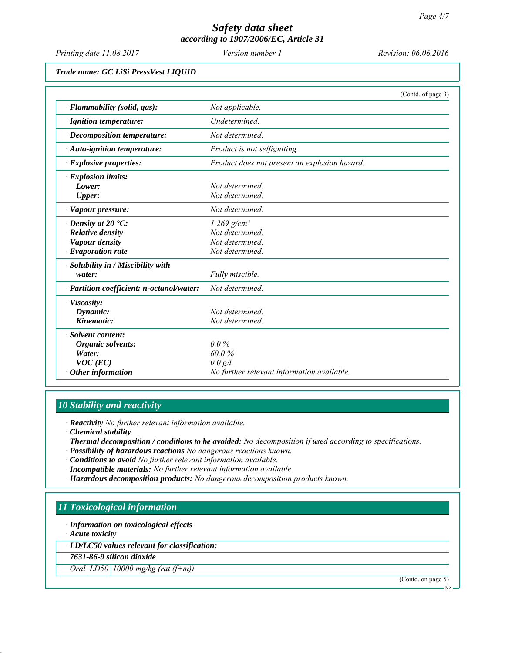*Printing date 11.08.2017 Revision: 06.06.2016 Version number 1*

*Trade name: GC LiSi PressVest LIQUID*

|                                           | (Contd. of page 3)                            |
|-------------------------------------------|-----------------------------------------------|
| $\cdot$ Flammability (solid, gas):        | Not applicable.                               |
| · Ignition temperature:                   | Undetermined.                                 |
| $\cdot$ Decomposition temperature:        | Not determined                                |
| $\cdot$ Auto-ignition temperature:        | Product is not selfigniting.                  |
| $\cdot$ Explosive properties:             | Product does not present an explosion hazard. |
| · Explosion limits:                       |                                               |
| Lower:                                    | Not determined                                |
| <b>Upper:</b>                             | Not determined.                               |
| · Vapour pressure:                        | Not determined.                               |
| $\cdot$ Density at 20 $\cdot$ C:          | $1.269$ g/cm <sup>3</sup>                     |
| $\cdot$ Relative density                  | Not determined.                               |
| · Vapour density                          | Not determined.                               |
| $\cdot$ Evaporation rate                  | Not determined.                               |
| · Solubility in / Miscibility with        |                                               |
| water:                                    | Fully miscible.                               |
| · Partition coefficient: n-octanol/water: | Not determined.                               |
| · Viscosity:                              |                                               |
| Dynamic:                                  | Not determined                                |
| Kinematic:                                | Not determined.                               |
| · Solvent content:                        |                                               |
| <b>Organic solvents:</b>                  | $0.0\%$                                       |
| Water:                                    | 60.0%                                         |
| $VOC$ (EC)                                | $0.0 \text{ g}/l$                             |
| $\cdot$ Other information                 | No further relevant information available.    |

# *10 Stability and reactivity*

*∙ Reactivity No further relevant information available.*

*∙ Chemical stability*

- *∙ Thermal decomposition / conditions to be avoided: No decomposition if used according to specifications.*
- *∙ Possibility of hazardous reactions No dangerous reactions known.*
- *∙ Conditions to avoid No further relevant information available.*
- *∙ Incompatible materials: No further relevant information available.*
- *∙ Hazardous decomposition products: No dangerous decomposition products known.*

# *11 Toxicological information*

*∙ Information on toxicological effects*

*∙ Acute toxicity*

*∙ LD/LC50 values relevant for classification:*

*7631-86-9 silicon dioxide*

*Oral LD50 10000 mg/kg (rat (f+m))*

(Contd. on page 5)

NZ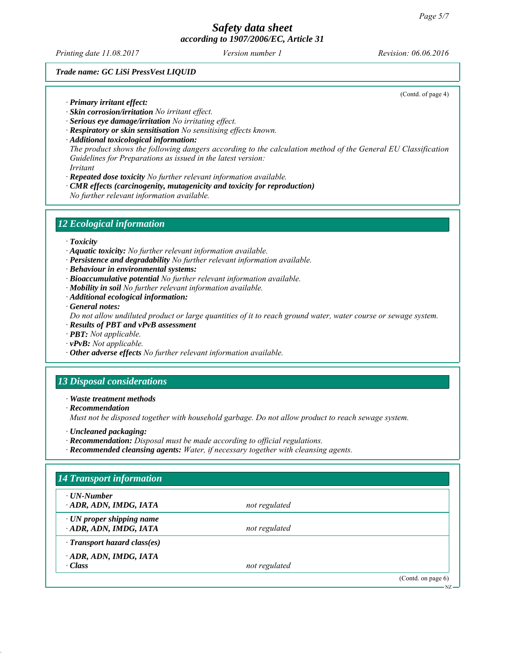*Printing date 11.08.2017 Revision: 06.06.2016 Version number 1*

(Contd. of page 4)

#### *Trade name: GC LiSi PressVest LIQUID*

*∙ Primary irritant effect:*

- *∙ Skin corrosion/irritation No irritant effect.*
- *∙ Serious eye damage/irritation No irritating effect.*
- *∙ Respiratory or skin sensitisation No sensitising effects known.*
- *∙ Additional toxicological information: The product shows the following dangers according to the calculation method of the General EU Classification Guidelines for Preparations as issued in the latest version: Irritant*
- *∙ Repeated dose toxicity No further relevant information available.*
- *∙ CMR effects (carcinogenity, mutagenicity and toxicity for reproduction) No further relevant information available.*

#### *12 Ecological information*

- *∙ Toxicity*
- *∙ Aquatic toxicity: No further relevant information available.*
- *∙ Persistence and degradability No further relevant information available.*
- *∙ Behaviour in environmental systems:*
- *∙ Bioaccumulative potential No further relevant information available.*
- *∙ Mobility in soil No further relevant information available.*
- *∙ Additional ecological information:*
- *∙ General notes:*

*Do not allow undiluted product or large quantities of it to reach ground water, water course or sewage system.*

- *∙ Results of PBT and vPvB assessment*
- *∙ PBT: Not applicable.*
- *∙ vPvB: Not applicable.*
- *∙ Other adverse effects No further relevant information available.*

# *13 Disposal considerations*

*∙ Waste treatment methods*

*∙ Recommendation*

*Must not be disposed together with household garbage. Do not allow product to reach sewage system.*

- *∙ Uncleaned packaging:*
- *∙ Recommendation: Disposal must be made according to official regulations.*
- *∙ Recommended cleansing agents: Water, if necessary together with cleansing agents.*

# *14 Transport information ∙ UN-Number ∙ ADR, ADN, IMDG, IATA not regulated ∙ UN proper shipping name*

*∙ ADR, ADN, IMDG, IATA not regulated*

*∙ Transport hazard class(es)*

*∙ ADR, ADN, IMDG, IATA*

*∙ Class not regulated*

(Contd. on page 6) NZ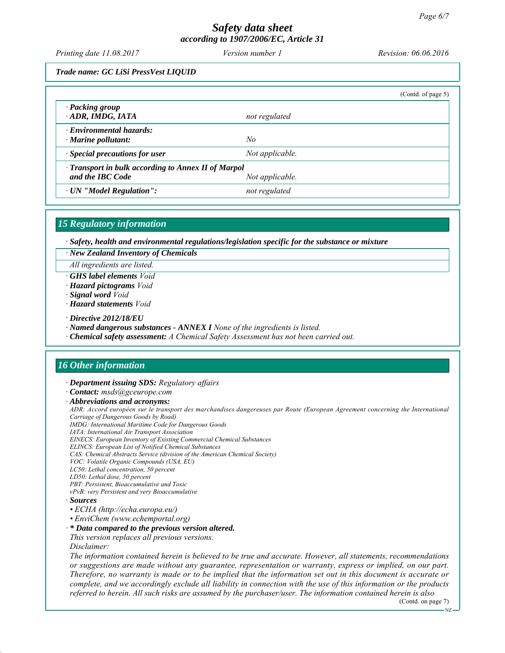*Printing date 11.08.2017 Revision: 06.06.2016 Version number 1*

*Trade name: GC LiSi PressVest LIQUID*

|                                                                                            |                 | (Contd. of page $5$ ) |  |
|--------------------------------------------------------------------------------------------|-----------------|-----------------------|--|
| · Packing group<br>ADR, IMDG, IATA                                                         | not regulated   |                       |  |
| $\cdot$ Environmental hazards:<br>$\cdot$ Marine pollutant:                                | No              |                       |  |
| $\cdot$ Special precautions for user                                                       | Not applicable. |                       |  |
| · Transport in bulk according to Annex II of Marpol<br>and the IBC Code<br>Not applicable. |                 |                       |  |
| · UN "Model Regulation":                                                                   | not regulated   |                       |  |

#### *15 Regulatory information*

*∙ Safety, health and environmental regulations/legislation specific for the substance or mixture*

*∙ New Zealand Inventory of Chemicals*

*All ingredients are listed.*

*∙ GHS label elements Void*

*∙ Hazard pictograms Void*

*∙ Signal word Void*

*∙ Hazard statements Void*

*∙ Directive 2012/18/EU*

*∙ Named dangerous substances - ANNEX I None of the ingredients is listed.*

*∙ Chemical safety assessment: A Chemical Safety Assessment has not been carried out.*

# *16 Other information*

*∙ Department issuing SDS: Regulatory affairs*

*∙ Contact: msds@gceurope.com*

*∙ Abbreviations and acronyms:*

*ADR: Accord européen sur le transport des marchandises dangereuses par Route (European Agreement concerning the International Carriage of Dangerous Goods by Road)*

*IMDG: International Maritime Code for Dangerous Goods*

*IATA: International Air Transport Association*

*EINECS: European Inventory of Existing Commercial Chemical Substances*

- *ELINCS: European List of Notified Chemical Substances*
- *CAS: Chemical Abstracts Service (division of the American Chemical Society) VOC: Volatile Organic Compounds (USA, EU)*
- *LC50: Lethal concentration, 50 percent*
- *LD50: Lethal dose, 50 percent*

*PBT: Persistent, Bioaccumulative and Toxic*

*vPvB: very Persistent and very Bioaccumulative*

#### *∙ Sources*

- *ECHA (http://echa.europa.eu/)*
- *EnviChem (www.echemportal.org)*

#### *∙ \* Data compared to the previous version altered.*

*This version replaces all previous versions.*

*Disclaimer:*

*The information contained herein is believed to be true and accurate. However, all statements, recommendations or suggestions are made without any guarantee, representation or warranty, express or implied, on our part. Therefore, no warranty is made or to be implied that the information set out in this document is accurate or complete, and we accordingly exclude all liability in connection with the use of this information or the products referred to herein. All such risks are assumed by the purchaser/user. The information contained herein is also*

(Contd. on page 7) NZ